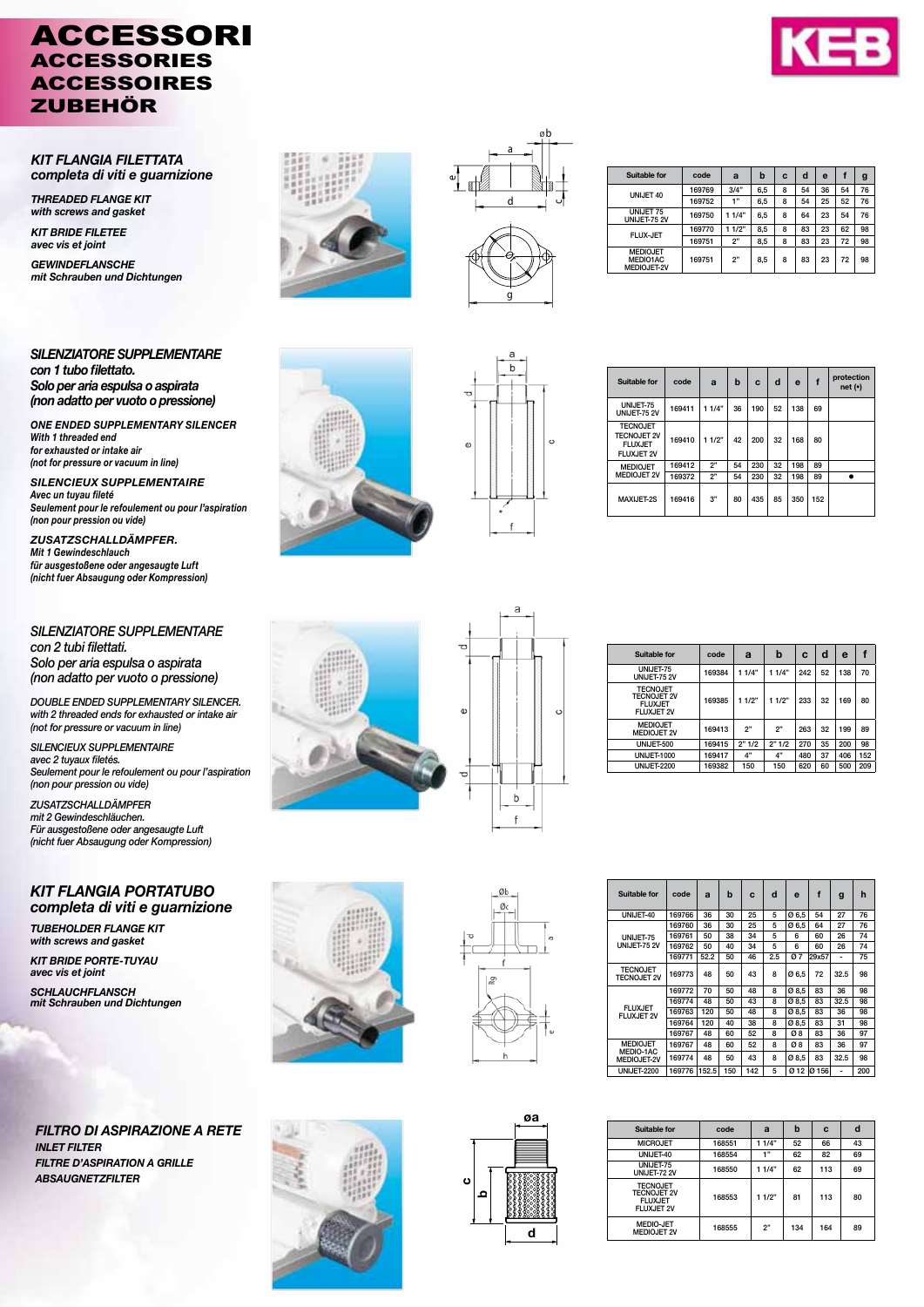# ACCESSORI ACCESSORIES ACCESSOIRES ZUBEHÖR



*KIT FLANGIA FILETTATA completa di viti e guarnizione*

*THREADED FLANGE KIT with screws and gasket KIT BRIDE FILETEE avec vis et joint GEWINDEFLANSCHE mit Schrauben und Dichtungen*

*SILENZIATORE SUPPLEMENTARE con 1 tubo filettato. Solo per aria espulsa o aspirata (non adatto per vuoto o pressione)*

*ONE ENDED SUPPLEMENTARY SILENCER With 1 threaded end for exhausted or intake air (not for pressure or vacuum in line)*

*SILENCIEUX SUPPLEMENTAIRE Avec un tuyau fileté Seulement pour le refoulement ou pour l'aspiration (non pour pression ou vide)*

*ZUSATZSCHALLDÄMPFER. Mit 1 Gewindeschlauch für ausgestoßene oder angesaugte Luft (nicht fuer Absaugung oder Kompression)*

*SILENZIATORE SUPPLEMENTARE con 2 tubi filettati. Solo per aria espulsa o aspirata (non adatto per vuoto o pressione)*

*DOUBLE ENDED SUPPLEMENTARY SILENCER. with 2 threaded ends for exhausted or intake air (not for pressure or vacuum in line)*

*SILENCIEUX SUPPLEMENTAIRE avec 2 tuyaux filetés. Seulement pour le refoulement ou pour l'aspiration (non pour pression ou vide)*

*ZUSATZSCHALLDÄMPFER mit 2 Gewindeschläuchen. Für ausgestoßene oder angesaugte Luft (nicht fuer Absaugung oder Kompression)*

### *KIT FLANGIA PORTATUBO completa di viti e guarnizione*

*TUBEHOLDER FLANGE KIT with screws and gasket KIT BRIDE PORTE-TUYAU*

*avec vis et joint SCHLAUCHFLANSCH mit Schrauben und Dichtungen*

*FILTRO DI ASPIRAZIONE A RETE INLET FILTER FILTRE D'ASPIRATION A GRILLE ABSAUGNETZFILTER*





| Suitable for                               | code   | a     | b   | C | d  | e  |    | g  |
|--------------------------------------------|--------|-------|-----|---|----|----|----|----|
| UNIJET 40                                  | 169769 | 3/4"  | 6.5 | 8 | 54 | 36 | 54 | 76 |
|                                            | 169752 | 1"    | 6,5 | 8 | 54 | 25 | 52 | 76 |
| UNIJET 75<br>UNIJET-75 2V                  | 169750 | 11/4" | 6.5 | 8 | 64 | 23 | 54 | 76 |
|                                            | 169770 | 11/2" | 8.5 | 8 | 83 | 23 | 62 | 98 |
| <b>FLUX-JET</b>                            | 169751 | 2"    | 8.5 | 8 | 83 | 23 | 72 | 98 |
| <b>MEDIOJET</b><br>MEDIO1AC<br>MEDIOJET-2V | 169751 | 2"    | 8.5 | 8 | 83 | 23 | 72 | 98 |





| Suitable for                                                                 | code   | a     | b  | C   | d  | $\mathbf e$ |     | protection<br>net(•) |
|------------------------------------------------------------------------------|--------|-------|----|-----|----|-------------|-----|----------------------|
| UNIJET-75<br><b>UNIJET-75 2V</b>                                             | 169411 | 11/4" | 36 | 190 | 52 | 138         | 69  |                      |
| <b>TECNOJET</b><br><b>TECNOJET 2V</b><br><b>FLUXJET</b><br><b>FLUXJET 2V</b> | 169410 | 11/2" | 42 | 200 | 32 | 168         | 80  |                      |
| <b>MEDIOJET</b>                                                              | 169412 | 2"    | 54 | 230 | 32 | 198         | 89  |                      |
| <b>MEDIOJET 2V</b>                                                           | 169372 | 2"    | 54 | 230 | 32 | 198         | 89  |                      |
| MAXIJET-2S                                                                   | 169416 | 3"    | 80 | 435 | 85 | 350         | 152 |                      |



| U |   |         |
|---|---|---------|
| Φ |   | $\circ$ |
| O | b |         |
|   | f |         |

| Suitable for                                                                 | code   | a     | b     | C   | d  | e   | f   |
|------------------------------------------------------------------------------|--------|-------|-------|-----|----|-----|-----|
| UNIJET-75<br>UNIJET-75 2V                                                    | 169384 | 11/4" | 11/4" | 242 | 52 | 138 | 70  |
| <b>TECNOJET</b><br><b>TECNOJET 2V</b><br><b>FLUXJET</b><br><b>FLUXJET 2V</b> | 169385 | 11/2" | 11/2" | 233 | 32 | 169 | 80  |
| <b>MEDIOJET</b><br><b>MEDIOJET 2V</b>                                        | 169413 | 2"    | 2"    | 263 | 32 | 199 | 89  |
| UNIJET-500                                                                   | 169415 | 2"1/2 | 2"1/2 | 270 | 35 | 200 | 98  |
| <b>UNIJET-1000</b>                                                           | 169417 | 4"    | 4"    | 480 | 37 | 406 | 152 |
| <b>UNIJET-2200</b>                                                           | 169382 | 150   | 150   | 620 | 60 | 500 | 209 |





øa<br>designades<br>d

d

øа

ء c

| <b>Suitable for</b>                         | code   | a     | b   | Ċ   | d   | e     | f                | g    | h   |
|---------------------------------------------|--------|-------|-----|-----|-----|-------|------------------|------|-----|
| UNIJET-40                                   | 169766 | 36    | 30  | 25  | 5   | Ø6,5  | 54               | 27   | 76  |
|                                             | 169760 | 36    | 30  | 25  | 5   | Ø 6.5 | 64               | 27   | 76  |
| UNIJET-75                                   | 169761 | 50    | 38  | 34  | 5   | ĥ     | 60               | 26   | 74  |
| <b>UNIJET-75 2V</b>                         | 169762 | 50    | 40  | 34  | 5   | 6     | 60               | 26   | 74  |
|                                             | 169771 | 52.2  | 50  | 46  | 2.5 | Ø7    | 29x57            |      | 75  |
| <b>TECNOJET</b><br><b>TECNOJET 2V</b>       | 169773 | 48    | 50  | 43  | 8   | Ø6.5  | 72               | 32.5 | 98  |
|                                             | 169772 | 70    | 50  | 48  | 8   | Ø8.5  | 83               | 36   | 98  |
|                                             | 169774 | 48    | 50  | 43  | 8   | Ø 8.5 | 83               | 32.5 | 98  |
| <b>FLUXJET</b><br><b>FLUXJET 2V</b>         | 169763 | 120   | 50  | 48  | 8   | Ø 8.5 | 83               | 36   | 98  |
|                                             | 169764 | 120   | 40  | 38  | 8   | Ø8.5  | 83               | 31   | 98  |
|                                             | 169767 | 48    | 60  | 52  | 8   | Ø8    | 83               | 36   | 97  |
| <b>MEDIOJET</b><br>MEDIO-1AC<br>MEDIOJET-2V | 169767 | 48    | 60  | 52  | 8   | Ø8    | 83               | 36   | 97  |
|                                             | 169774 | 48    | 50  | 43  | 8   | Ø8.5  | 83               | 32.5 | 98  |
| <b>UNIJET-2200</b>                          | 169776 | 152.5 | 150 | 142 | 5   | Ø 12  | Ø <sub>156</sub> | ۰    | 200 |

| Suitable for                                                                 | code   | a     | b   | C   | d  |
|------------------------------------------------------------------------------|--------|-------|-----|-----|----|
| <b>MICROJET</b>                                                              | 168551 | 11/4" | 52  | 66  | 43 |
| UNIJET-40                                                                    | 168554 | 4.99  | 62  | 82  | 69 |
| UNIJET-75<br>UNIJET-72 2V                                                    | 168550 | 11/4" | 62  | 113 | 69 |
| <b>TECNOJET</b><br><b>TECNOJET 2V</b><br><b>FLUXJET</b><br><b>FLUXJET 2V</b> | 168553 | 11/2" | 81  | 113 | 80 |
| <b>MEDIO-JET</b><br><b>MEDIOJET 2V</b>                                       | 168555 | 2"    | 134 | 164 | 89 |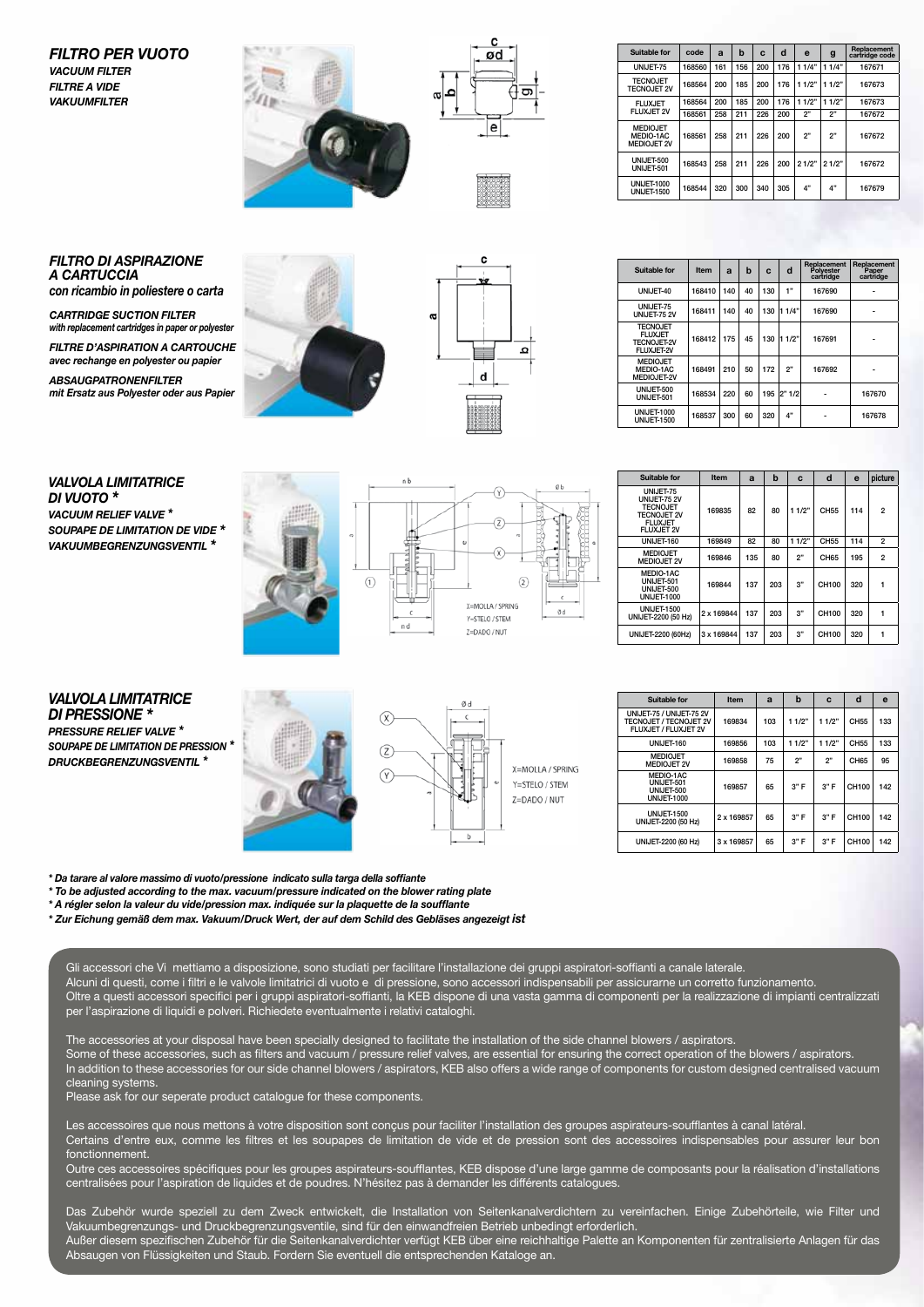#### *FILTRO PER VUOTO VACUUM FILTER FILTRE A VIDE VAKUUMFILTER*





| Suitable for                                       | code   | a   | b   | C   | d   | e     | g     | Replacement<br>cartridge code |
|----------------------------------------------------|--------|-----|-----|-----|-----|-------|-------|-------------------------------|
| UNIJET-75                                          | 168560 | 161 | 156 | 200 | 176 | 11/4" | 11/4" | 167671                        |
| <b>TECNOJET</b><br><b>TECNOJET 2V</b>              | 168564 | 200 | 185 | 200 | 176 | 11/2" | 11/2" | 167673                        |
| <b>FLUXJET</b><br>FLUXJET 2V                       | 168564 | 200 | 185 | 200 | 176 | 11/2" | 11/2" | 167673                        |
|                                                    | 168561 | 258 | 211 | 226 | 200 | 2"    | 2"    | 167672                        |
| <b>MEDIOJET</b><br>MEDIO-1AC<br><b>MEDIOJET 2V</b> | 168561 | 258 | 211 | 226 | 200 | 2"    | 2"    | 167672                        |
| UNIJET-500<br>UNIJET-501                           | 168543 | 258 | 211 | 226 | 200 | 21/2" | 21/2" | 167672                        |
| <b>UNIJET-1000</b><br><b>UNIJET-1500</b>           | 168544 | 320 | 300 | 340 | 305 | $4"$  | 4"    | 167679                        |

## *FILTRO DI ASPIRAZIONE A CARTUCCIA*

*con ricambio in poliestere o carta*

*CARTRIDGE SUCTION FILTER with replacement cartridges in paper or polyester FILTRE D'ASPIRATION A CARTOUCHE avec rechange en polyester ou papier*

*ABSAUGPATRONENFILTER mit Ersatz aus Polyester oder aus Papier*





| Suitable for                                                          | Item   | a   | b  | c   | d      | <b>Replacement</b><br>Polvester<br>cartridge | Replacement<br>Paper<br>cartridge |
|-----------------------------------------------------------------------|--------|-----|----|-----|--------|----------------------------------------------|-----------------------------------|
| UNIJET-40                                                             | 168410 | 140 | 40 | 130 | 1"     | 167690                                       |                                   |
| UNIJET-75<br><b>UNIJET-75 2V</b>                                      | 168411 | 140 | 40 | 130 | 1114"  | 167690                                       |                                   |
| <b>TECNOJET</b><br><b>FLUXJET</b><br><b>TECNOJET-2V</b><br>FLUXJET-2V | 168412 | 175 | 45 | 130 | 1 1/2" | 167691                                       |                                   |
| <b>MEDIOJET</b><br>MEDIO-1AC<br>MEDIOJET-2V                           | 168491 | 210 | 50 | 172 | 2"     | 167692                                       |                                   |
| UNIJET-500<br>UNIJET-501                                              | 168534 | 220 | 60 | 195 | 2"1/2  |                                              | 167670                            |
| <b>UNIJET-1000</b><br><b>UNIJET-1500</b>                              | 168537 | 300 | 60 | 320 | 4"     |                                              | 167678                            |

## *VALVOLA LIMITATRICE DI VUOTO \**

*VACUUM RELIEF VALVE \* SOUPAPE DE LIMITATION DE VIDE \* VAKUUMBEGRENZUNGSVENTIL \**





| Suitable for                                                                                              | Item       | a   | b   | c     | d     | e   | picture        |
|-----------------------------------------------------------------------------------------------------------|------------|-----|-----|-------|-------|-----|----------------|
| UNIJET-75<br><b>UNIJET-75 2V</b><br><b>TECNOJET</b><br><b>TECNOJET 2V</b><br><b>FLUXJET</b><br>FLUXJET 2V | 169835     | 82  | 80  | 11/2" | CH55  | 114 | $\overline{2}$ |
| UNIJET-160                                                                                                | 169849     | 82  | 80  | 11/2" | CH55  | 114 | $\overline{2}$ |
| <b>MEDIOJET</b><br><b>MEDIOJET 2V</b>                                                                     | 169846     | 135 | 80  | 2"    | CH65  | 195 | $\overline{2}$ |
| MEDIO-1AC<br>UNIJET-501<br>UNIJET-500<br><b>UNIJET-1000</b>                                               | 169844     | 137 | 203 | 3"    | CH100 | 320 | 1              |
| <b>UNIJET-1500</b><br>UNIJET-2200 (50 Hz)                                                                 | 2 x 169844 | 137 | 203 | 3"    | CH100 | 320 |                |
| UNIJET-2200 (60Hz)                                                                                        | 3 x 169844 | 137 | 203 | 3"    | CH100 | 320 |                |

#### *VALVOLA LIMITATRICE DI PRESSIONE \* PRESSURE RELIEF VALVE \* SOUPAPE DE LIMITATION DE PRESSION \* DRUCKBEGRENZUNGSVENTIL \**





| Suitable for                                                                      | Item       | a   | b     | C     | d     | е   |
|-----------------------------------------------------------------------------------|------------|-----|-------|-------|-------|-----|
| UNIJET-75 / UNIJET-75 2V<br><b>TECNOJET / TECNOJET 2V</b><br>FLUXJET / FLUXJET 2V | 169834     | 103 | 11/2" | 11/2" | CH55  | 133 |
| UNIJET-160                                                                        | 169856     | 103 | 11/2" | 11/2" | CH55  | 133 |
| <b>MEDIOJET</b><br><b>MEDIOJET 2V</b>                                             | 169858     | 75  | 2"    | 2"    | CH65  | 95  |
| MEDIO-1AC<br>UNIJET-501<br>UNIJET-500<br><b>UNIJET-1000</b>                       | 169857     | 65  | 3"F   | 3"F   | CH100 | 142 |
| <b>UNIJET-1500</b><br>UNIJET-2200 (50 Hz)                                         | 2 x 169857 | 65  | 3"F   | 3"F   | CH100 | 142 |
| UNIJET-2200 (60 Hz)                                                               | 3 x 169857 | 65  | 3"F   | 3"F   | CH100 | 142 |

*\* Da tarare al valore massimo di vuoto/pressione indicato sulla targa della soffiante*

*\* To be adjusted according to the max. vacuum/pressure indicated on the blower rating plate*

*\* A régler selon la valeur du vide/pression max. indiquée sur la plaquette de la soufflante*

*\* Zur Eichung gemäß dem max. Vakuum/Druck Wert, der auf dem Schild des Gebläses angezeigt ist*

Gli accessori che Vi mettiamo a disposizione, sono studiati per facilitare l'installazione dei gruppi aspiratori-soffianti a canale laterale. Alcuni di questi, come i filtri e le valvole limitatrici di vuoto e di pressione, sono accessori indispensabili per assicurarne un corretto funzionamento. Oltre a questi accessori specifici per i gruppi aspiratori-soffianti, la KEB dispone di una vasta gamma di componenti per la realizzazione di impianti centralizzati per l'aspirazione di liquidi e polveri. Richiedete eventualmente i relativi cataloghi.

The accessories at your disposal have been specially designed to facilitate the installation of the side channel blowers / aspirators. Some of these accessories, such as filters and vacuum / pressure relief valves, are essential for ensuring the correct operation of the blowers / aspirators. In addition to these accessories for our side channel blowers / aspirators, KEB also offers a wide range of components for custom designed centralised vacuum cleaning systems.

Please ask for our seperate product catalogue for these components.

Les accessoires que nous mettons à votre disposition sont conçus pour faciliter l'installation des groupes aspirateurs-soufflantes à canal latéral. Certains d'entre eux, comme les filtres et les soupapes de limitation de vide et de pression sont des accessoires indispensables pour assurer leur bon fonctionnement.

Outre ces accessoires spécifiques pour les groupes aspirateurs-soufflantes, KEB dispose d'une large gamme de composants pour la réalisation d'installations centralisées pour l'aspiration de liquides et de poudres. N'hésitez pas à demander les différents catalogues.

Das Zubehör wurde speziell zu dem Zweck entwickelt, die Installation von Seitenkanalverdichtern zu vereinfachen. Einige Zubehörteile, wie Filter und Vakuumbegrenzungs- und Druckbegrenzungsventile, sind für den einwandfreien Betrieb unbedingt erforderlich. Außer diesem spezifischen Zubehör für die Seitenkanalverdichter verfügt KEB über eine reichhaltige Palette an Komponenten für zentralisierte Anlagen für das Absaugen von Flüssigkeiten und Staub. Fordern Sie eventuell die entsprechenden Kataloge an.